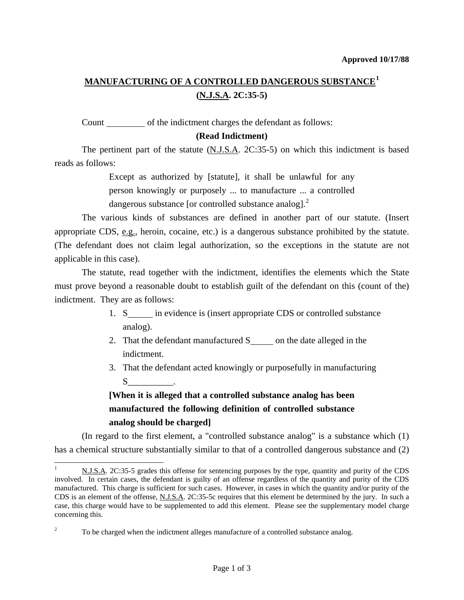## **MANUFACTURING OF A CONTROLLED DANGEROUS SUBSTANCE[1](#page-0-0) (N.J.S.A. 2C:35-5)**

Count \_\_\_\_\_\_\_\_\_\_ of the indictment charges the defendant as follows:

### **(Read Indictment)**

The pertinent part of the statute (N.J.S.A. 2C:35-5) on which this indictment is based reads as follows:

> Except as authorized by [statute], it shall be unlawful for any person knowingly or purposely ... to manufacture ... a controlled dangerous substance [or controlled substance analog]. $^{2}$  $^{2}$  $^{2}$

 The various kinds of substances are defined in another part of our statute. (Insert appropriate CDS,  $\underline{e.g.}$ , heroin, cocaine, etc.) is a dangerous substance prohibited by the statute. (The defendant does not claim legal authorization, so the exceptions in the statute are not applicable in this case).

 The statute, read together with the indictment, identifies the elements which the State must prove beyond a reasonable doubt to establish guilt of the defendant on this (count of the) indictment. They are as follows:

- 1. S in evidence is (insert appropriate CDS or controlled substance analog).
- 2. That the defendant manufactured  $S$  on the date alleged in the indictment.
- 3. That the defendant acted knowingly or purposefully in manufacturing  $S$  .

# **[When it is alleged that a controlled substance analog has been manufactured the following definition of controlled substance analog should be charged]**

 (In regard to the first element, a "controlled substance analog" is a substance which (1) has a chemical structure substantially similar to that of a controlled dangerous substance and (2)

 $\overline{a}$ 

<span id="page-0-0"></span><sup>1</sup> N.J.S.A. 2C:35-5 grades this offense for sentencing purposes by the type, quantity and purity of the CDS involved. In certain cases, the defendant is guilty of an offense regardless of the quantity and purity of the CDS manufactured. This charge is sufficient for such cases. However, in cases in which the quantity and/or purity of the CDS is an element of the offense, N.J.S.A. 2C:35-5c requires that this element be determined by the jury. In such a case, this charge would have to be supplemented to add this element. Please see the supplementary model charge concerning this.

<span id="page-0-2"></span><span id="page-0-1"></span><sup>2</sup> To be charged when the indictment alleges manufacture of a controlled substance analog.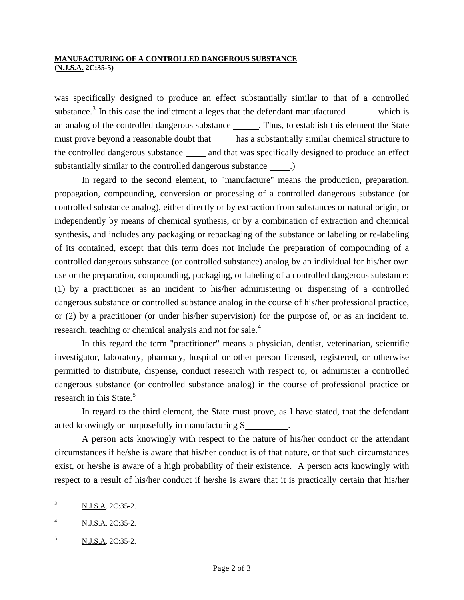#### **MANUFACTURING OF A CONTROLLED DANGEROUS SUBSTANCE (N.J.S.A. 2C:35-5)**

was specifically designed to produce an effect substantially similar to that of a controlled substance.<sup>[3](#page-0-2)</sup> In this case the indictment alleges that the defendant manufactured  $\frac{ }{ }$  which is an analog of the controlled dangerous substance . Thus, to establish this element the State must prove beyond a reasonable doubt that has a substantially similar chemical structure to the controlled dangerous substance \_\_\_\_\_\_ and that was specifically designed to produce an effect substantially similar to the controlled dangerous substance \_\_\_\_\_.)

 In regard to the second element, to "manufacture" means the production, preparation, propagation, compounding, conversion or processing of a controlled dangerous substance (or controlled substance analog), either directly or by extraction from substances or natural origin, or independently by means of chemical synthesis, or by a combination of extraction and chemical synthesis, and includes any packaging or repackaging of the substance or labeling or re-labeling of its contained, except that this term does not include the preparation of compounding of a controlled dangerous substance (or controlled substance) analog by an individual for his/her own use or the preparation, compounding, packaging, or labeling of a controlled dangerous substance: (1) by a practitioner as an incident to his/her administering or dispensing of a controlled dangerous substance or controlled substance analog in the course of his/her professional practice, or (2) by a practitioner (or under his/her supervision) for the purpose of, or as an incident to, research, teaching or chemical analysis and not for sale.<sup>[4](#page-1-0)</sup>

 In this regard the term "practitioner" means a physician, dentist, veterinarian, scientific investigator, laboratory, pharmacy, hospital or other person licensed, registered, or otherwise permitted to distribute, dispense, conduct research with respect to, or administer a controlled dangerous substance (or controlled substance analog) in the course of professional practice or research in this State. $5$ 

 In regard to the third element, the State must prove, as I have stated, that the defendant acted knowingly or purposefully in manufacturing S

 A person acts knowingly with respect to the nature of his/her conduct or the attendant circumstances if he/she is aware that his/her conduct is of that nature, or that such circumstances exist, or he/she is aware of a high probability of their existence. A person acts knowingly with respect to a result of his/her conduct if he/she is aware that it is practically certain that his/her

 $\overline{\mathbf{a}}$ <sup>3</sup> N.J.S.A. 2C:35-2.

<span id="page-1-0"></span><sup>4</sup> N.J.S.A. 2C:35-2.

<span id="page-1-1"></span> $N.J.S.A. 2C:35-2.$